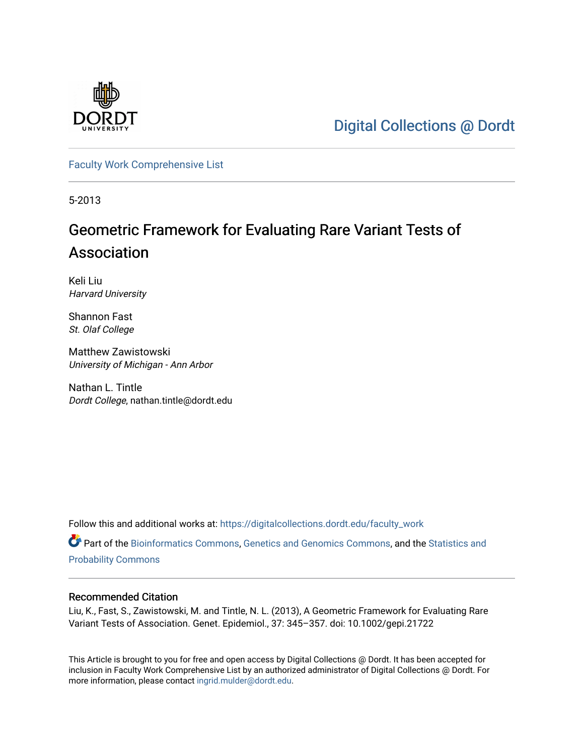

[Digital Collections @ Dordt](https://digitalcollections.dordt.edu/) 

[Faculty Work Comprehensive List](https://digitalcollections.dordt.edu/faculty_work)

5-2013

# Geometric Framework for Evaluating Rare Variant Tests of Association

Keli Liu Harvard University

Shannon Fast St. Olaf College

Matthew Zawistowski University of Michigan - Ann Arbor

Nathan L. Tintle Dordt College, nathan.tintle@dordt.edu

Follow this and additional works at: [https://digitalcollections.dordt.edu/faculty\\_work](https://digitalcollections.dordt.edu/faculty_work?utm_source=digitalcollections.dordt.edu%2Ffaculty_work%2F119&utm_medium=PDF&utm_campaign=PDFCoverPages) 

Part of the [Bioinformatics Commons,](http://network.bepress.com/hgg/discipline/110?utm_source=digitalcollections.dordt.edu%2Ffaculty_work%2F119&utm_medium=PDF&utm_campaign=PDFCoverPages) [Genetics and Genomics Commons](http://network.bepress.com/hgg/discipline/27?utm_source=digitalcollections.dordt.edu%2Ffaculty_work%2F119&utm_medium=PDF&utm_campaign=PDFCoverPages), and the [Statistics and](http://network.bepress.com/hgg/discipline/208?utm_source=digitalcollections.dordt.edu%2Ffaculty_work%2F119&utm_medium=PDF&utm_campaign=PDFCoverPages) [Probability Commons](http://network.bepress.com/hgg/discipline/208?utm_source=digitalcollections.dordt.edu%2Ffaculty_work%2F119&utm_medium=PDF&utm_campaign=PDFCoverPages) 

## Recommended Citation

Liu, K., Fast, S., Zawistowski, M. and Tintle, N. L. (2013), A Geometric Framework for Evaluating Rare Variant Tests of Association. Genet. Epidemiol., 37: 345–357. doi: 10.1002/gepi.21722

This Article is brought to you for free and open access by Digital Collections @ Dordt. It has been accepted for inclusion in Faculty Work Comprehensive List by an authorized administrator of Digital Collections @ Dordt. For more information, please contact [ingrid.mulder@dordt.edu.](mailto:ingrid.mulder@dordt.edu)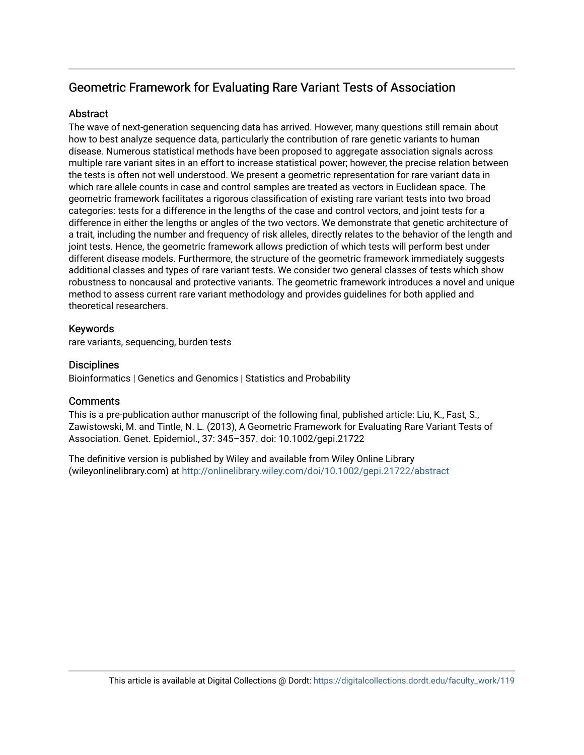## Geometric Framework for Evaluating Rare Variant Tests of Association

## **Abstract**

The wave of next-generation sequencing data has arrived. However, many questions still remain about how to best analyze sequence data, particularly the contribution of rare genetic variants to human disease. Numerous statistical methods have been proposed to aggregate association signals across multiple rare variant sites in an effort to increase statistical power; however, the precise relation between the tests is often not well understood. We present a geometric representation for rare variant data in which rare allele counts in case and control samples are treated as vectors in Euclidean space. The geometric framework facilitates a rigorous classification of existing rare variant tests into two broad categories: tests for a difference in the lengths of the case and control vectors, and joint tests for a difference in either the lengths or angles of the two vectors. We demonstrate that genetic architecture of a trait, including the number and frequency of risk alleles, directly relates to the behavior of the length and joint tests. Hence, the geometric framework allows prediction of which tests will perform best under different disease models. Furthermore, the structure of the geometric framework immediately suggests additional classes and types of rare variant tests. We consider two general classes of tests which show robustness to noncausal and protective variants. The geometric framework introduces a novel and unique method to assess current rare variant methodology and provides guidelines for both applied and theoretical researchers.

## Keywords

rare variants, sequencing, burden tests

## **Disciplines**

Bioinformatics | Genetics and Genomics | Statistics and Probability

## **Comments**

This is a pre-publication author manuscript of the following final, published article: Liu, K., Fast, S., Zawistowski, M. and Tintle, N. L. (2013), A Geometric Framework for Evaluating Rare Variant Tests of Association. Genet. Epidemiol., 37: 345–357. doi: 10.1002/gepi.21722

The definitive version is published by Wiley and available from Wiley Online Library (wileyonlinelibrary.com) at <http://onlinelibrary.wiley.com/doi/10.1002/gepi.21722/abstract>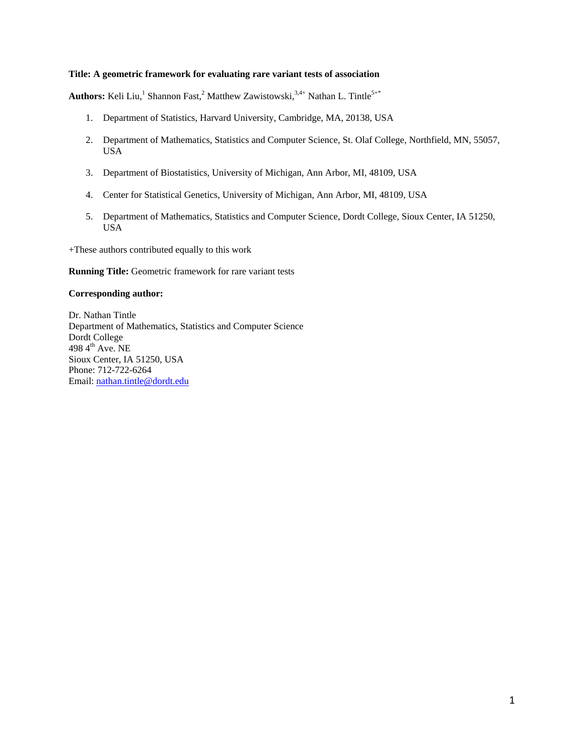#### **Title: A geometric framework for evaluating rare variant tests of association**

**Authors:** Keli Liu,<sup>1</sup> Shannon Fast,<sup>2</sup> Matthew Zawistowski,<sup>3,4+</sup> Nathan L. Tintle<sup>5+\*</sup>

- 1. Department of Statistics, Harvard University, Cambridge, MA, 20138, USA
- 2. Department of Mathematics, Statistics and Computer Science, St. Olaf College, Northfield, MN, 55057, USA
- 3. Department of Biostatistics, University of Michigan, Ann Arbor, MI, 48109, USA
- 4. Center for Statistical Genetics, University of Michigan, Ann Arbor, MI, 48109, USA
- 5. Department of Mathematics, Statistics and Computer Science, Dordt College, Sioux Center, IA 51250, USA

+These authors contributed equally to this work

**Running Title:** Geometric framework for rare variant tests

#### **Corresponding author:**

Dr. Nathan Tintle Department of Mathematics, Statistics and Computer Science Dordt College 498  $4<sup>th</sup>$  Ave. NE Sioux Center, IA 51250, USA Phone: 712-722-6264 Email: [nathan.tintle@dordt.edu](mailto:nathan.tintle@dordt.edu)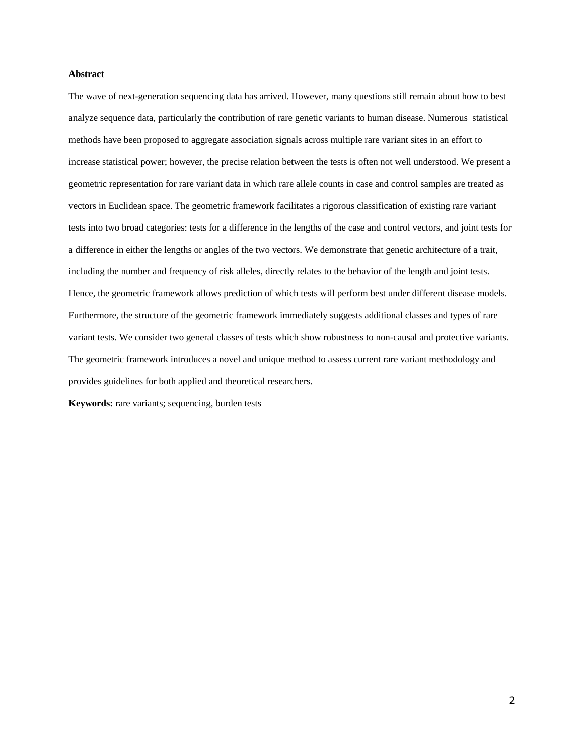#### **Abstract**

The wave of next-generation sequencing data has arrived. However, many questions still remain about how to best analyze sequence data, particularly the contribution of rare genetic variants to human disease. Numerous statistical methods have been proposed to aggregate association signals across multiple rare variant sites in an effort to increase statistical power; however, the precise relation between the tests is often not well understood. We present a geometric representation for rare variant data in which rare allele counts in case and control samples are treated as vectors in Euclidean space. The geometric framework facilitates a rigorous classification of existing rare variant tests into two broad categories: tests for a difference in the lengths of the case and control vectors, and joint tests for a difference in either the lengths or angles of the two vectors. We demonstrate that genetic architecture of a trait, including the number and frequency of risk alleles, directly relates to the behavior of the length and joint tests. Hence, the geometric framework allows prediction of which tests will perform best under different disease models. Furthermore, the structure of the geometric framework immediately suggests additional classes and types of rare variant tests. We consider two general classes of tests which show robustness to non-causal and protective variants. The geometric framework introduces a novel and unique method to assess current rare variant methodology and provides guidelines for both applied and theoretical researchers.

**Keywords:** rare variants; sequencing, burden tests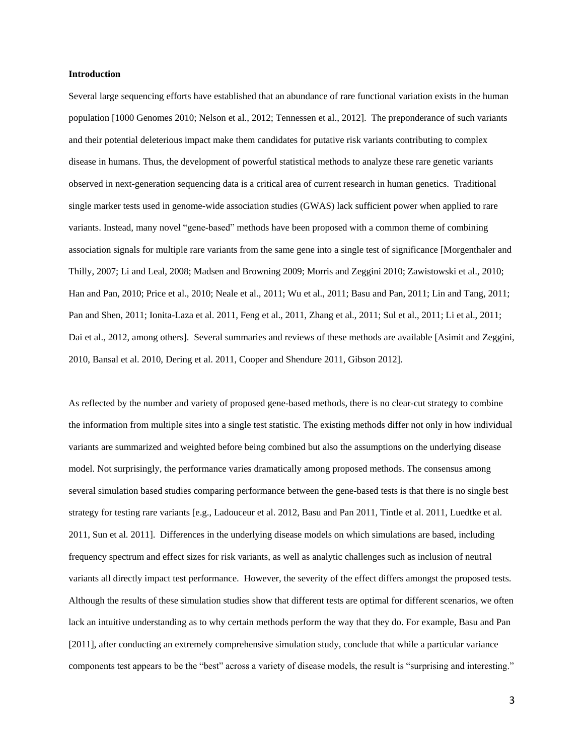#### **Introduction**

Several large sequencing efforts have established that an abundance of rare functional variation exists in the human population [1000 Genomes 2010; Nelson et al., 2012; Tennessen et al., 2012]. The preponderance of such variants and their potential deleterious impact make them candidates for putative risk variants contributing to complex disease in humans. Thus, the development of powerful statistical methods to analyze these rare genetic variants observed in next-generation sequencing data is a critical area of current research in human genetics. Traditional single marker tests used in genome-wide association studies (GWAS) lack sufficient power when applied to rare variants. Instead, many novel "gene-based" methods have been proposed with a common theme of combining association signals for multiple rare variants from the same gene into a single test of significance [Morgenthaler and Thilly, 2007; Li and Leal, 2008; Madsen and Browning 2009; Morris and Zeggini 2010; Zawistowski et al., 2010; Han and Pan, 2010; Price et al., 2010; Neale et al., 2011; Wu et al., 2011; Basu and Pan, 2011; Lin and Tang, 2011; Pan and Shen, 2011; Ionita-Laza et al. 2011, Feng et al., 2011, Zhang et al., 2011; Sul et al., 2011; Li et al., 2011; Dai et al., 2012, among others]. Several summaries and reviews of these methods are available [Asimit and Zeggini, 2010, Bansal et al. 2010, Dering et al. 2011, Cooper and Shendure 2011, Gibson 2012].

As reflected by the number and variety of proposed gene-based methods, there is no clear-cut strategy to combine the information from multiple sites into a single test statistic. The existing methods differ not only in how individual variants are summarized and weighted before being combined but also the assumptions on the underlying disease model. Not surprisingly, the performance varies dramatically among proposed methods. The consensus among several simulation based studies comparing performance between the gene-based tests is that there is no single best strategy for testing rare variants [e.g., Ladouceur et al. 2012, Basu and Pan 2011, Tintle et al. 2011, Luedtke et al. 2011, Sun et al. 2011]. Differences in the underlying disease models on which simulations are based, including frequency spectrum and effect sizes for risk variants, as well as analytic challenges such as inclusion of neutral variants all directly impact test performance. However, the severity of the effect differs amongst the proposed tests. Although the results of these simulation studies show that different tests are optimal for different scenarios, we often lack an intuitive understanding as to why certain methods perform the way that they do. For example, Basu and Pan [2011], after conducting an extremely comprehensive simulation study, conclude that while a particular variance components test appears to be the "best" across a variety of disease models, the result is "surprising and interesting."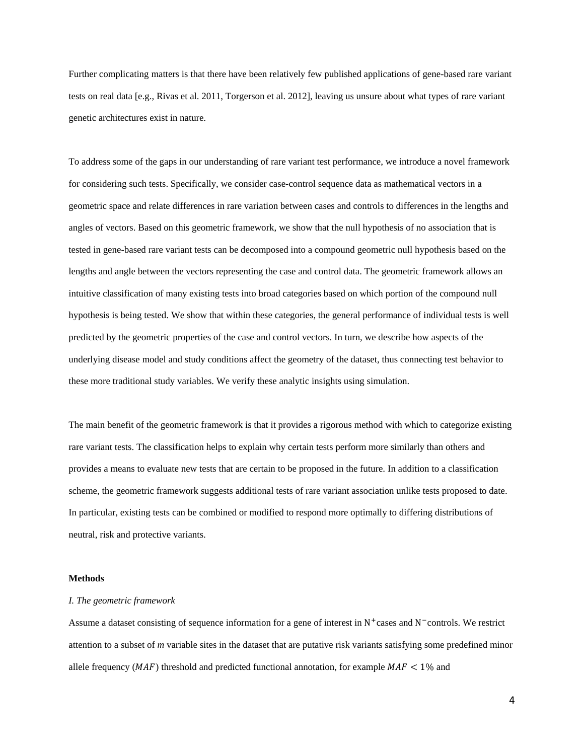Further complicating matters is that there have been relatively few published applications of gene-based rare variant tests on real data [e.g., Rivas et al. 2011, Torgerson et al. 2012], leaving us unsure about what types of rare variant genetic architectures exist in nature.

To address some of the gaps in our understanding of rare variant test performance, we introduce a novel framework for considering such tests. Specifically, we consider case-control sequence data as mathematical vectors in a geometric space and relate differences in rare variation between cases and controls to differences in the lengths and angles of vectors. Based on this geometric framework, we show that the null hypothesis of no association that is tested in gene-based rare variant tests can be decomposed into a compound geometric null hypothesis based on the lengths and angle between the vectors representing the case and control data. The geometric framework allows an intuitive classification of many existing tests into broad categories based on which portion of the compound null hypothesis is being tested. We show that within these categories, the general performance of individual tests is well predicted by the geometric properties of the case and control vectors. In turn, we describe how aspects of the underlying disease model and study conditions affect the geometry of the dataset, thus connecting test behavior to these more traditional study variables. We verify these analytic insights using simulation.

The main benefit of the geometric framework is that it provides a rigorous method with which to categorize existing rare variant tests. The classification helps to explain why certain tests perform more similarly than others and provides a means to evaluate new tests that are certain to be proposed in the future. In addition to a classification scheme, the geometric framework suggests additional tests of rare variant association unlike tests proposed to date. In particular, existing tests can be combined or modified to respond more optimally to differing distributions of neutral, risk and protective variants.

#### **Methods**

#### *I. The geometric framework*

Assume a dataset consisting of sequence information for a gene of interest in  $N^+$ cases and  $N^-$ controls. We restrict attention to a subset of *m* variable sites in the dataset that are putative risk variants satisfying some predefined minor allele frequency ( $MAF$ ) threshold and predicted functional annotation, for example  $MAF < 1\%$  and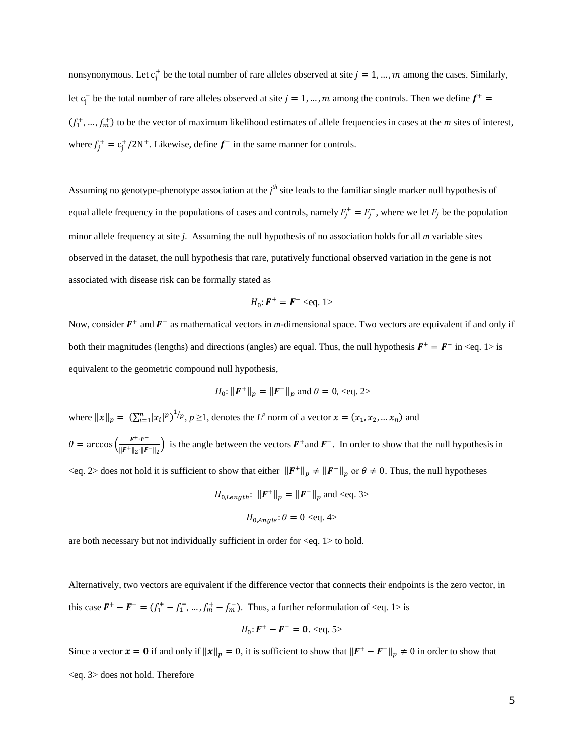nonsynonymous. Let  $c_i^+$  be the total number of rare alleles observed at site  $j = 1, ..., m$  among the cases. Similarly, let  $c_i^-$  be the total number of rare alleles observed at site  $j = 1, ..., m$  among the controls. Then we define  $f^+$  $(f_1^+, ..., f_m^+)$  to be the vector of maximum likelihood estimates of allele frequencies in cases at the *m* sites of interest, where  $f_i^+ = c_i^+/2N^+$ . Likewise, define  $f^-$  in the same manner for controls.

Assuming no genotype-phenotype association at the *j*<sup>th</sup> site leads to the familiar single marker null hypothesis of equal allele frequency in the populations of cases and controls, namely  $F_i^+ = F_i^-$ , where we let  $F_i$  be the population minor allele frequency at site *j*. Assuming the null hypothesis of no association holds for all *m* variable sites observed in the dataset, the null hypothesis that rare, putatively functional observed variation in the gene is not associated with disease risk can be formally stated as

$$
H_0: \boldsymbol{F}^+ = \boldsymbol{F}^- \langle \text{eq. 1} \rangle
$$

Now, consider  $F^+$  and  $F^-$  as mathematical vectors in *m*-dimensional space. Two vectors are equivalent if and only if both their magnitudes (lengths) and directions (angles) are equal. Thus, the null hypothesis  $F^+ = F^-$  in <eq. 1> is equivalent to the geometric compound null hypothesis,

$$
H_0
$$
:  $||\mathbf{F}^+||_p = ||\mathbf{F}^-||_p$  and  $\theta = 0$ ,  $\langle$ eq. 2>

where  $||x||_p = (\sum_{i=1}^n |x_i|^p)^{1/p}, p \ge 1$ , denotes the *L*<sup>*p*</sup> norm of a vector  $x = (x_1, x_2, ... x_n)$  and

 $\theta = \arccos\left(\frac{F^+ \cdot F^-}{\ln \frac{F^+ \cdot F^-}{\ln \frac{F^+ \cdot F^-}{\ln \frac{F^-}{\ln \frac{F^-}{\ln \frac{F^-}{\ln \frac{F^-}{\ln \frac{F^-}{\ln \frac{F^-}{\ln \frac{F^-}{\ln \frac{F^-}{\ln \frac{F^-}{\ln \frac{F^-}{\ln \frac{F^-}{\ln \frac{F^-}{\ln \frac{F^-}{\ln \frac{F^-}{\ln \frac{F^-}{\ln \frac{F^-}{\ln \frac{F^-}{\ln \frac{F^-}{\ln \frac{F^-}{\ln \frac{F^-}{\ln \frac{F^-}{\ln \frac{F$  $\frac{F+F}{\|F^+\|_2\cdot\|F^-\|_2}$  is the angle between the vectors  $\mathbf{F}^+$  and  $\mathbf{F}^-$ . In order to show that the null hypothesis in

 $\langle$ eq. 2> does not hold it is sufficient to show that either  $||F^+||_p \neq ||F^-||_p$  or  $\theta \neq 0$ . Thus, the null hypotheses

 $H_{0,Length}$ :  $||F^+||_p = ||F^-||_p$  and <eq. 3>  $H_{0.4nale}$ :  $\theta = 0$  < eq. 4>

are both necessary but not individually sufficient in order for  $\langle$ eq. 1 $>$  to hold.

Alternatively, two vectors are equivalent if the difference vector that connects their endpoints is the zero vector, in this case  $\mathbf{F}^+ - \mathbf{F}^- = (f_1^+ - f_1^-, \dots, f_m^+ - f_m^-)$ . Thus, a further reformulation of <eq. 1> is

$$
H_0: \mathbf{F}^+ - \mathbf{F}^- = \mathbf{0}.
$$
  $\langle$ eq. 5 $\rangle$ 

Since a vector  $x = 0$  if and only if  $||x||_p = 0$ , it is sufficient to show that  $||F^+ - F^-||_p \neq 0$  in order to show that  $\leq$ eq. 3 $>$  does not hold. Therefore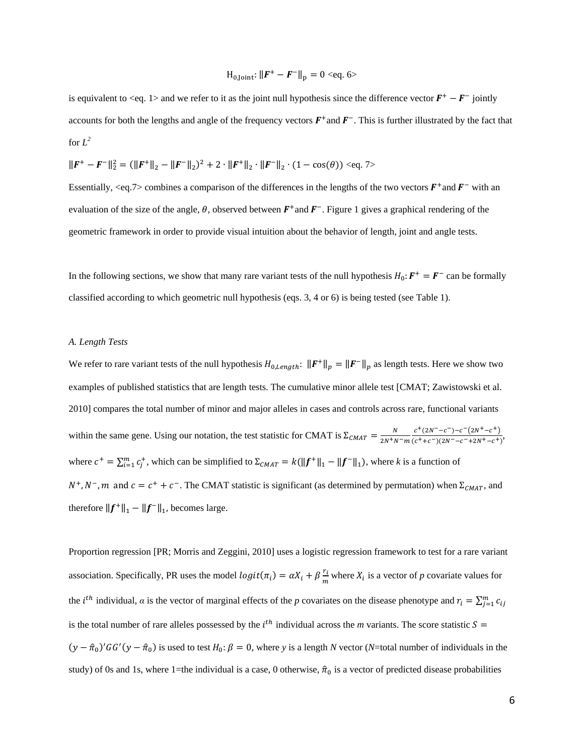$$
H_{0, \text{Joint}}
$$
:  $||F^+ - F^-||_p = 0$  

is equivalent to  $\langle$ eq. 1> and we refer to it as the joint null hypothesis since the difference vector  $F^+ - F^-$  jointly accounts for both the lengths and angle of the frequency vectors  $F^+$  and  $F^-$ . This is further illustrated by the fact that for  $L^2$ 

$$
\|\mathbf{F}^+ - \mathbf{F}^- \|_2^2 = (\|\mathbf{F}^+\|_2 - \|\mathbf{F}^-\|_2)^2 + 2 \cdot \|\mathbf{F}^+\|_2 \cdot \|\mathbf{F}^-\|_2 \cdot (1 - \cos(\theta)) < \text{eq.}
$$

Essentially,  $\langle$ eq.7> combines a comparison of the differences in the lengths of the two vectors  $F^+$  and  $F^-$  with an evaluation of the size of the angle,  $\theta$ , observed between  $\mathbf{F}^+$  and  $\mathbf{F}^-$ . Figure 1 gives a graphical rendering of the geometric framework in order to provide visual intuition about the behavior of length, joint and angle tests.

In the following sections, we show that many rare variant tests of the null hypothesis  $H_0: \mathbf{F}^+ = \mathbf{F}^-$  can be formally classified according to which geometric null hypothesis (eqs. 3, 4 or 6) is being tested (see Table 1).

#### *A. Length Tests*

We refer to rare variant tests of the null hypothesis  $H_{0,Length}$ :  $||F^+||_p = ||F^-||_p$  as length tests. Here we show two examples of published statistics that are length tests. The cumulative minor allele test [CMAT; Zawistowski et al. 2010] compares the total number of minor and major alleles in cases and controls across rare, functional variants within the same gene. Using our notation, the test statistic for CMAT is  $\Sigma_{CMAT} = \frac{N}{2(1 + N)}$  $\overline{c}$  $c^+(2N^- - c^-) - c^-(2N^+ - c^+)$  $\frac{c^{2N-1}}{(c^{+}+c^{-})(2N^{-}-c^{-}+2N^{+}-c^{+})},$ where  $c^+ = \sum_{i=1}^m c_i^+$ , which can be simplified to  $\sum_{CMAT} = k(||f^+||_1 - ||f^-||_1)$ , where *k* is a function of  $N^+$ ,  $N^-$ ,  $m$  and  $c = c^+ + c^-$ . The CMAT statistic is significant (as determined by permutation) when  $\Sigma_{CMAT}$ , and therefore  $||f^+||_1 - ||f^-||_1$ , becomes large.

Proportion regression [PR; Morris and Zeggini, 2010] uses a logistic regression framework to test for a rare variant association. Specifically, PR uses the model  $logit(\pi_i) = \alpha X_i + \beta \frac{r}{n}$  $\frac{n}{m}$  where  $X_i$  is a vector of p covariate values for the *i*<sup>th</sup> individual, *α* is the vector of marginal effects of the *p* covariates on the disease phenotype and  $r_i = \sum_{j=1}^{m} c_j$ is the total number of rare alleles possessed by the  $i<sup>th</sup>$  individual across the  $m$  variants. The score statistic  $(y - \hat{\pi}_0)'GG'(y - \hat{\pi}_0)$  is used to test  $H_0: \beta = 0$ , where *y* is a length *N* vector (*N*=total number of individuals in the study) of 0s and 1s, where 1=the individual is a case, 0 otherwise,  $\hat{\pi}_0$  is a vector of predicted disease probabilities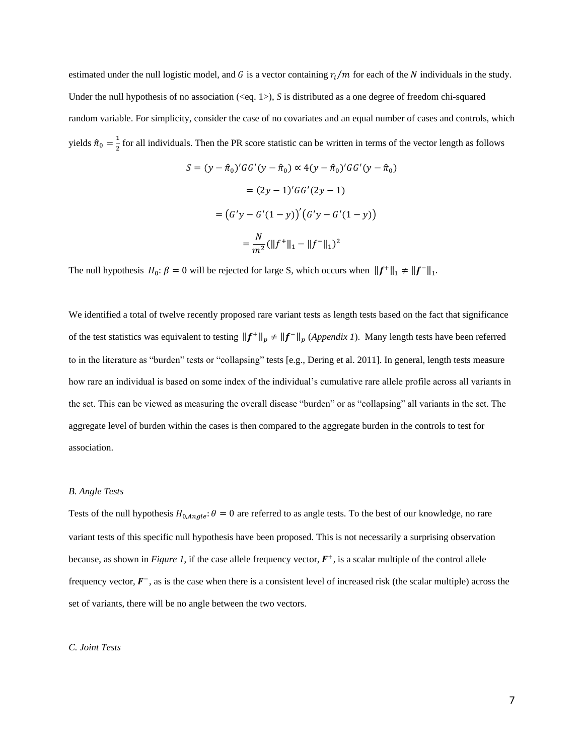estimated under the null logistic model, and G is a vector containing  $r_i/m$  for each of the N individuals in the study. Under the null hypothesis of no association (<eq. 1>), *S* is distributed as a one degree of freedom chi-squared random variable. For simplicity, consider the case of no covariates and an equal number of cases and controls, which yields  $\hat{\pi}_0 = \frac{1}{2}$  $\frac{1}{2}$  for all individuals. Then the PR score statistic can be written in terms of the vector length as follows

$$
S = (y - \hat{\pi}_0)'GG'(y - \hat{\pi}_0) \propto 4(y - \hat{\pi}_0)'GG'(y - \hat{\pi}_0)
$$
  

$$
= (2y - 1)'GG'(2y - 1)
$$
  

$$
= (G'y - G'(1 - y))'(G'y - G'(1 - y))
$$
  

$$
= \frac{N}{m^2} (\|f^+\|_1 - \|f^-\|_1)^2
$$

The null hypothesis  $H_0: \beta = 0$  will be rejected for large S, which occurs when  $||f^+||_1 \neq ||f^-||_1$ .

We identified a total of twelve recently proposed rare variant tests as length tests based on the fact that significance of the test statistics was equivalent to testing  $||f^+||_p \ne ||f^-||_p$  (*Appendix 1*). Many length tests have been referred to in the literature as "burden" tests or "collapsing" tests [e.g., Dering et al. 2011]. In general, length tests measure how rare an individual is based on some index of the individual's cumulative rare allele profile across all variants in the set. This can be viewed as measuring the overall disease "burden" or as "collapsing" all variants in the set. The aggregate level of burden within the cases is then compared to the aggregate burden in the controls to test for association.

#### *B. Angle Tests*

Tests of the null hypothesis  $H_{0,Angle}$ :  $\theta = 0$  are referred to as angle tests. To the best of our knowledge, no rare variant tests of this specific null hypothesis have been proposed. This is not necessarily a surprising observation because, as shown in *Figure 1*, if the case allele frequency vector,  $F^+$ , is a scalar multiple of the control allele frequency vector,  $F^-$ , as is the case when there is a consistent level of increased risk (the scalar multiple) across the set of variants, there will be no angle between the two vectors.

#### *C. Joint Tests*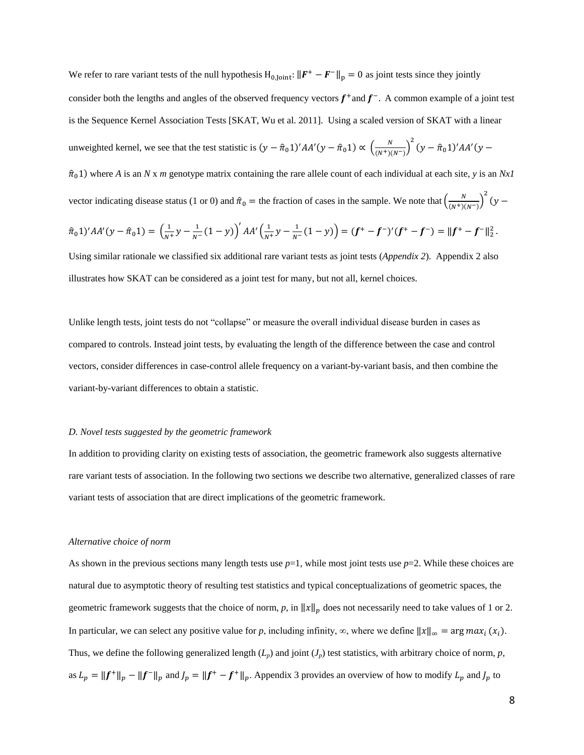We refer to rare variant tests of the null hypothesis  $H_{0, \text{Joint}}$ :  $||F^+ - F^-||_p = 0$  as joint tests since they jointly consider both the lengths and angles of the observed frequency vectors  $f^+$  and  $f^-$ . A common example of a joint test is the Sequence Kernel Association Tests [SKAT, Wu et al. 2011]. Using a scaled version of SKAT with a linear unweighted kernel, we see that the test statistic is  $(y - \hat{\pi}_0 1)' A A' (y - \hat{\pi}_0 1) \propto \left( \frac{N}{(M + \hat{\pi}_0 1)} \right)$  $\frac{N}{(N^+)(N^-)}\right)^2 (y - \hat{\pi}_0 1)'AA'(y)$  $\hat{\pi}_0$ 1) where *A* is an *N* x *m* genotype matrix containing the rare allele count of each individual at each site, *y* is an *Nx1* vector indicating disease status (1 or 0) and  $\hat{\pi}_0$  = the fraction of cases in the sample. We note that  $\left(\frac{N}{(M+1)^2}\right)$  $\frac{N}{(N^{+})(N^{-})}$   $\bigg)^{2}$  (y  $(\hat{\pi}_0 1)' A A' (y - \hat{\pi}_0 1) = \left(\frac{1}{N} \right)$  $\frac{1}{N^{+}}y-\frac{1}{N^{+}}$  $\frac{1}{N^{-}}(1-y)\right)^{\prime}AA^{\prime}\left(\frac{1}{N^{-}}\right)$  $\frac{1}{N^{+}}y - \frac{1}{N^{+}}$  $\frac{1}{N-}(1-y)$  =  $(f^+ - f^-)'(f^+ - f^-) = ||f^+ - f^-||_2^2$ .

Using similar rationale we classified six additional rare variant tests as joint tests (*Appendix 2*). Appendix 2 also illustrates how SKAT can be considered as a joint test for many, but not all, kernel choices.

Unlike length tests, joint tests do not "collapse" or measure the overall individual disease burden in cases as compared to controls. Instead joint tests, by evaluating the length of the difference between the case and control vectors, consider differences in case-control allele frequency on a variant-by-variant basis, and then combine the variant-by-variant differences to obtain a statistic.

#### *D. Novel tests suggested by the geometric framework*

In addition to providing clarity on existing tests of association, the geometric framework also suggests alternative rare variant tests of association. In the following two sections we describe two alternative, generalized classes of rare variant tests of association that are direct implications of the geometric framework.

#### *Alternative choice of norm*

As shown in the previous sections many length tests use  $p=1$ , while most joint tests use  $p=2$ . While these choices are natural due to asymptotic theory of resulting test statistics and typical conceptualizations of geometric spaces, the geometric framework suggests that the choice of norm, p, in  $||x||_p$  does not necessarily need to take values of 1 or 2. In particular, we can select any positive value for *p*, including infinity,  $\infty$ , where we define  $||x||_{\infty} = \arg max_i (x_i)$ . Thus, we define the following generalized length  $(L_p)$  and joint  $(J_p)$  test statistics, with arbitrary choice of norm, *p*, as  $L_p = ||f^+||_p - ||f^-||_p$  and  $J_p = ||f^+ - f^+||_p$ . Appendix 3 provides an overview of how to modify  $L_p$  and  $J_p$  to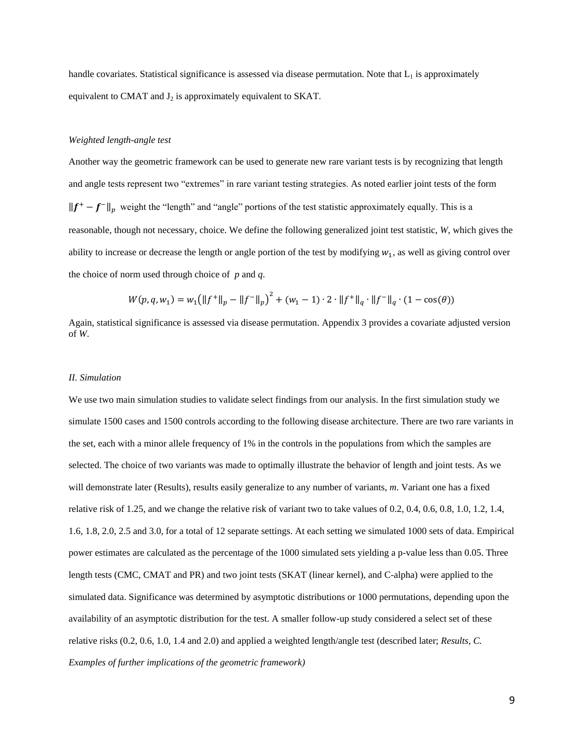handle covariates. Statistical significance is assessed via disease permutation. Note that  $L_1$  is approximately equivalent to CMAT and  $J_2$  is approximately equivalent to SKAT.

#### *Weighted length-angle test*

Another way the geometric framework can be used to generate new rare variant tests is by recognizing that length and angle tests represent two "extremes" in rare variant testing strategies. As noted earlier joint tests of the form  $||f^+ - f^+||_p$  weight the "length" and "angle" portions of the test statistic approximately equally. This is a reasonable, though not necessary, choice. We define the following generalized joint test statistic, *W*, which gives the ability to increase or decrease the length or angle portion of the test by modifying  $w_1$ , as well as giving control over the choice of norm used through choice of *p* and *q*.

$$
W(p,q,w_1) = w_1(||f^+||_p - ||f^-||_p)^2 + (w_1 - 1) \cdot 2 \cdot ||f^+||_q \cdot ||f^-||_q \cdot (1 - \cos(\theta))
$$

Again, statistical significance is assessed via disease permutation. Appendix 3 provides a covariate adjusted version of *W*.

#### *II. Simulation*

We use two main simulation studies to validate select findings from our analysis. In the first simulation study we simulate 1500 cases and 1500 controls according to the following disease architecture. There are two rare variants in the set, each with a minor allele frequency of 1% in the controls in the populations from which the samples are selected. The choice of two variants was made to optimally illustrate the behavior of length and joint tests. As we will demonstrate later (Results), results easily generalize to any number of variants, *m*. Variant one has a fixed relative risk of 1.25, and we change the relative risk of variant two to take values of 0.2, 0.4, 0.6, 0.8, 1.0, 1.2, 1.4, 1.6, 1.8, 2.0, 2.5 and 3.0, for a total of 12 separate settings. At each setting we simulated 1000 sets of data. Empirical power estimates are calculated as the percentage of the 1000 simulated sets yielding a p-value less than 0.05. Three length tests (CMC, CMAT and PR) and two joint tests (SKAT (linear kernel), and C-alpha) were applied to the simulated data. Significance was determined by asymptotic distributions or 1000 permutations, depending upon the availability of an asymptotic distribution for the test. A smaller follow-up study considered a select set of these relative risks (0.2, 0.6, 1.0, 1.4 and 2.0) and applied a weighted length/angle test (described later; *Results, C. Examples of further implications of the geometric framework)*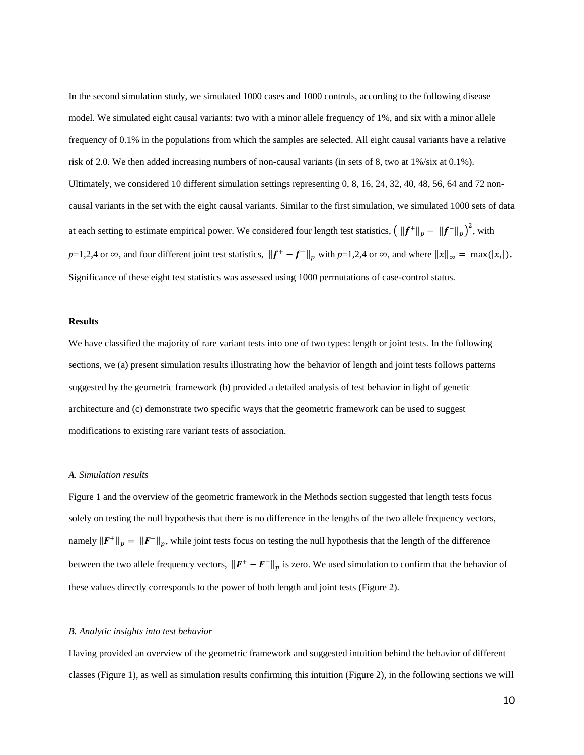In the second simulation study, we simulated 1000 cases and 1000 controls, according to the following disease model. We simulated eight causal variants: two with a minor allele frequency of 1%, and six with a minor allele frequency of 0.1% in the populations from which the samples are selected. All eight causal variants have a relative risk of 2.0. We then added increasing numbers of non-causal variants (in sets of 8, two at 1%/six at 0.1%). Ultimately, we considered 10 different simulation settings representing 0, 8, 16, 24, 32, 40, 48, 56, 64 and 72 noncausal variants in the set with the eight causal variants. Similar to the first simulation, we simulated 1000 sets of data at each setting to estimate empirical power. We considered four length test statistics,  $\left(\|f^+\|_p - \|f^-\|_p\right)^2$ , with  $p=1,2,4$  or  $\infty$ , and four different joint test statistics,  $||f^+ - f^+||_p$  with  $p=1,2,4$  or  $\infty$ , and where  $||x||_{\infty} = \max(|x_i|)$ . Significance of these eight test statistics was assessed using 1000 permutations of case-control status.

#### **Results**

We have classified the majority of rare variant tests into one of two types: length or joint tests. In the following sections, we (a) present simulation results illustrating how the behavior of length and joint tests follows patterns suggested by the geometric framework (b) provided a detailed analysis of test behavior in light of genetic architecture and (c) demonstrate two specific ways that the geometric framework can be used to suggest modifications to existing rare variant tests of association.

#### *A. Simulation results*

Figure 1 and the overview of the geometric framework in the Methods section suggested that length tests focus solely on testing the null hypothesis that there is no difference in the lengths of the two allele frequency vectors, namely  $||F^+||_p = ||F^-||_p$ , while joint tests focus on testing the null hypothesis that the length of the difference between the two allele frequency vectors,  $||F^+ - F^-||_p$  is zero. We used simulation to confirm that the behavior of these values directly corresponds to the power of both length and joint tests (Figure 2).

#### *B. Analytic insights into test behavior*

Having provided an overview of the geometric framework and suggested intuition behind the behavior of different classes (Figure 1), as well as simulation results confirming this intuition (Figure 2), in the following sections we will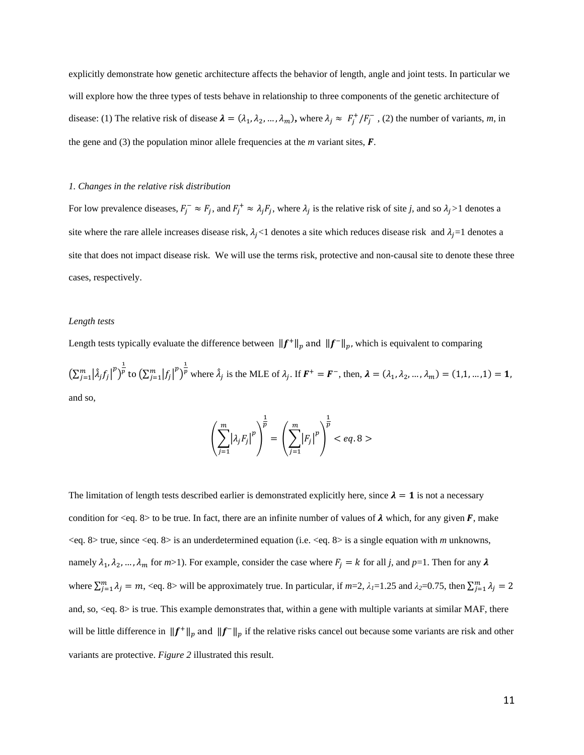explicitly demonstrate how genetic architecture affects the behavior of length, angle and joint tests. In particular we will explore how the three types of tests behave in relationship to three components of the genetic architecture of disease: (1) The relative risk of disease  $\lambda = (\lambda_1, \lambda_2, ..., \lambda_m)$ , where  $\lambda_i \approx F_i^+ / F_i^-$ , (2) the number of variants, *m*, in the gene and (3) the population minor allele frequencies at the  $m$  variant sites,  $\bm{F}$ .

#### *1. Changes in the relative risk distribution*

For low prevalence diseases,  $F_i^- \approx F_i$ , and  $F_i^+ \approx \lambda_i F_i$ , where  $\lambda_i$  is the relative risk of site *j*, and so  $\lambda_i > 1$  denotes a site where the rare allele increases disease risk,  $\lambda_j$ <1 denotes a site which reduces disease risk and  $\lambda_j$ =1 denotes a site that does not impact disease risk. We will use the terms risk, protective and non-causal site to denote these three cases, respectively.

#### *Length tests*

Length tests typically evaluate the difference between  $||f^+||_p$  and  $||f^-||_p$ , which is equivalent to comparing  $\left(\sum_{j=1}^m \left|\hat \lambda_j f_j\right|^p\right)$  $\frac{1}{p}$  to  $\left(\sum_{j=1}^m \left|f_j\right|^p\right)$  $\frac{1}{p}$  where  $\hat{\lambda}_j$  is the MLE of  $\lambda_j$ . If  $\mathbf{F}^+ = \mathbf{F}^-$ , then,  $\lambda = (\lambda_1, \lambda_2, ..., \lambda_m) = (1, 1, ..., 1) =$ and so,

$$
\left(\sum_{j=1}^{m} |\lambda_j F_j|^p\right)^{\frac{1}{p}} = \left(\sum_{j=1}^{m} |F_j|^p\right)^{\frac{1}{p}} < eq.8>
$$

The limitation of length tests described earlier is demonstrated explicitly here, since  $\lambda = 1$  is not a necessary condition for  $\ll$ eq. 8> to be true. In fact, there are an infinite number of values of  $\lambda$  which, for any given  $F$ , make <eq. 8> true, since <eq. 8> is an underdetermined equation (i.e. <eq. 8> is a single equation with *m* unknowns, namely  $\lambda_1, \lambda_2, ..., \lambda_m$  for  $m>1$ ). For example, consider the case where  $F_i = k$  for all *j*, and  $p=1$ . Then for any where  $\sum_{j=1}^{m} \lambda_j = m$ , <eq. 8> will be approximately true. In particular, if  $m=2$ ,  $\lambda_1=1.25$  and  $\lambda_2=0.75$ , then  $\sum_{j=1}^{m} \lambda_j$ and, so, <eq. 8> is true. This example demonstrates that, within a gene with multiple variants at similar MAF, there will be little difference in  $||f^+||_p$  and  $||f^-||_p$  if the relative risks cancel out because some variants are risk and other variants are protective. *Figure 2* illustrated this result.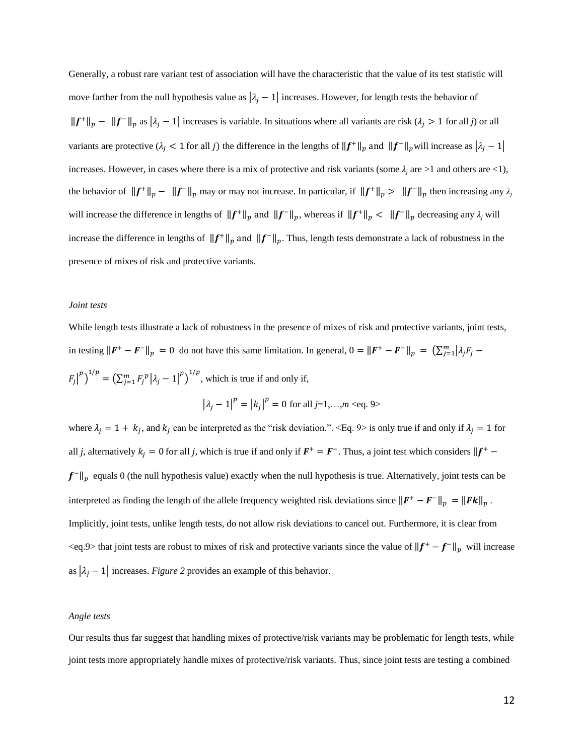Generally, a robust rare variant test of association will have the characteristic that the value of its test statistic will move farther from the null hypothesis value as  $|\lambda_j - 1|$  increases. However, for length tests the behavior of  $||f^+||_p - ||f^-||_p$  as  $|\lambda_j - 1|$  increases is variable. In situations where all variants are risk  $(\lambda_j > 1$  for all *j*) or all variants are protective ( $\lambda_j < 1$  for all j) the difference in the lengths of  $||f^+||_p$  and  $||f^-||_p$  will increase as  $|\lambda_j - 1|$ increases. However, in cases where there is a mix of protective and risk variants (some  $\lambda_i$  are  $>1$  and others are  $<1$ ), the behavior of  $||f^+||_p - ||f^-||_p$  may or may not increase. In particular, if  $||f^+||_p > ||f^-||_p$  then increasing any  $\lambda_j$ will increase the difference in lengths of  $||f^+||_p$  and  $||f^-||_p$ , whereas if  $||f^+||_p < ||f^-||_p$  decreasing any  $\lambda_j$  will increase the difference in lengths of  $||f^+||_p$  and  $||f^-||_p$ . Thus, length tests demonstrate a lack of robustness in the presence of mixes of risk and protective variants.

#### *Joint tests*

While length tests illustrate a lack of robustness in the presence of mixes of risk and protective variants, joint tests, in testing  $\|\mathbf{F}^+ - \mathbf{F}^-\|_p = 0$  do not have this same limitation. In general,  $0 = \|\mathbf{F}^+ - \mathbf{F}^-\|_p = (\sum_{j=1}^m |\lambda_j|)^p$  $\left(F_j\right)^{1/p} = \left(\sum_{j=1}^m F_j^p \middle| \lambda_j - 1 \middle| \right)^{1/p}$ , which is true if and only if,  $|\lambda_i - 1|^p = |k_i|^p = 0$  for all  $j=1,...,m$  <eq. 9>

where  $\lambda_i = 1 + k_i$ , and  $k_i$  can be interpreted as the "risk deviation.". <Eq. 9> is only true if and only if  $\lambda_i = 1$  for all *j*, alternatively  $k_i = 0$  for all *j*, which is true if and only if  $F^+ = F^-$ . Thus, a joint test which considers  $||f^+||$  $f^-\|_p$  equals 0 (the null hypothesis value) exactly when the null hypothesis is true. Alternatively, joint tests can be interpreted as finding the length of the allele frequency weighted risk deviations since  $||F^+ - F^-||_p = ||Fk||_p$ . Implicitly, joint tests, unlike length tests, do not allow risk deviations to cancel out. Furthermore, it is clear from  $\ll$ eq.9> that joint tests are robust to mixes of risk and protective variants since the value of  $||f^+ - f^-\||_p$  will increase as  $|\lambda_j - 1|$  increases. *Figure 2* provides an example of this behavior.

#### *Angle tests*

Our results thus far suggest that handling mixes of protective/risk variants may be problematic for length tests, while joint tests more appropriately handle mixes of protective/risk variants. Thus, since joint tests are testing a combined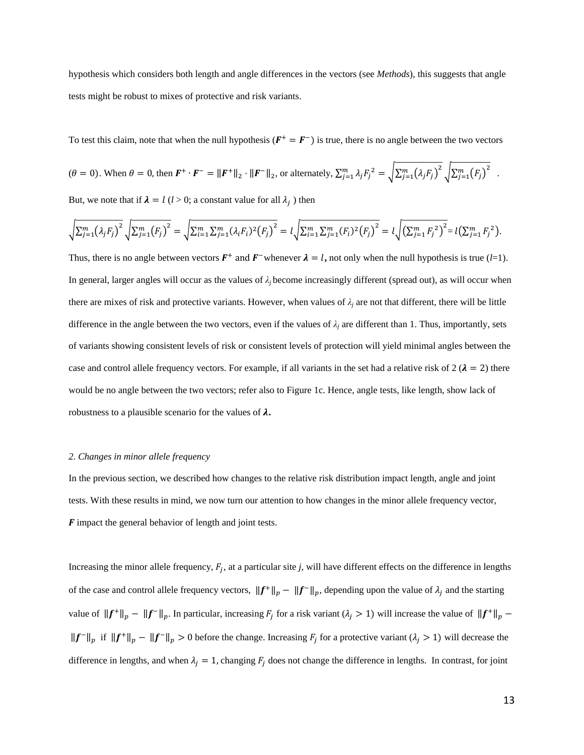hypothesis which considers both length and angle differences in the vectors (see *Methods*), this suggests that angle tests might be robust to mixes of protective and risk variants.

To test this claim, note that when the null hypothesis  $(F^+ = F^-)$  is true, there is no angle between the two vectors

 $(\theta = 0)$ . When  $\theta = 0$ , then  $\mathbf{F}^+ \cdot \mathbf{F}^- = ||\mathbf{F}^+||_2 \cdot ||\mathbf{F}^-||_2$ , or alternately,  $\sum_{j=1}^m \lambda_j F_j^2 = \sqrt{\sum_{j=1}^m (\lambda_j F_j)^2} \sqrt{\sum_{j=1}^m (F_j)^2}$ .

But, we note that if  $\lambda = l$  ( $l > 0$ ; a constant value for all  $\lambda_i$ ) then

$$
\sqrt{\sum_{j=1}^{m}(\lambda_{j}F_{j})^{2}}\sqrt{\sum_{j=1}^{m}(F_{j})^{2}}=\sqrt{\sum_{i=1}^{m}\sum_{j=1}^{m}(\lambda_{i}F_{i})^{2}(F_{j})^{2}}=l\sqrt{\sum_{i=1}^{m}\sum_{j=1}^{m}(F_{i})^{2}(F_{j})^{2}}=l\sqrt{(\sum_{j=1}^{m}F_{j}^{2})^{2}}=l(\sum_{j=1}^{m}F_{j}^{2}).
$$

Thus, there is no angle between vectors  $\mathbf{F}^+$  and  $\mathbf{F}^-$  whenever  $\lambda = l$ , not only when the null hypothesis is true (*l*=1). In general, larger angles will occur as the values of *λj* become increasingly different (spread out), as will occur when there are mixes of risk and protective variants. However, when values of  $\lambda_i$  are not that different, there will be little difference in the angle between the two vectors, even if the values of  $\lambda_i$  are different than 1. Thus, importantly, sets of variants showing consistent levels of risk or consistent levels of protection will yield minimal angles between the case and control allele frequency vectors. For example, if all variants in the set had a relative risk of  $2 (\lambda = 2)$  there would be no angle between the two vectors; refer also to Figure 1c. Hence, angle tests, like length, show lack of robustness to a plausible scenario for the values of  $\lambda$ .

#### *2. Changes in minor allele frequency*

In the previous section, we described how changes to the relative risk distribution impact length, angle and joint tests. With these results in mind, we now turn our attention to how changes in the minor allele frequency vector,  $\bf{F}$  impact the general behavior of length and joint tests.

Increasing the minor allele frequency,  $F_i$ , at a particular site  $j$ , will have different effects on the difference in lengths of the case and control allele frequency vectors,  $||f^+||_p - ||f^-||_p$ , depending upon the value of  $\lambda_j$  and the starting value of  $||f^+||_p - ||f^-||_p$ . In particular, increasing  $F_j$  for a risk variant  $(\lambda_j > 1)$  will increase the value of  $||f^+||_p$  $||f||_p$  if  $||f^+||_p - ||f^-||_p > 0$  before the change. Increasing  $F_j$  for a protective variant  $(\lambda_j > 1)$  will decrease the difference in lengths, and when  $\lambda_i = 1$ , changing  $F_i$  does not change the difference in lengths. In contrast, for joint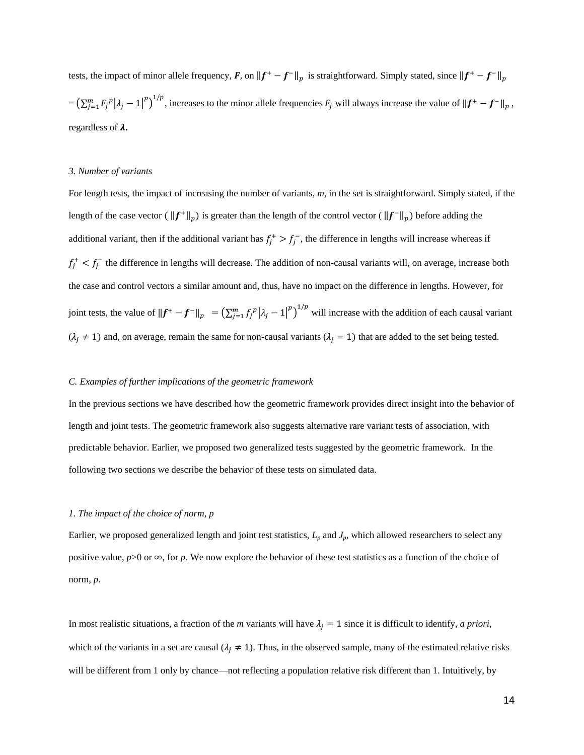tests, the impact of minor allele frequency, F, on  $||f^+ - f^-||_p$  is straightforward. Simply stated, since  $||f^+ - f^-||_p$  $=\left(\sum_{j=1}^m F_j^{\ p}\middle| \lambda_j-1\right]^p\right)^{1/p}$ , increases to the minor allele frequencies  $F_j$  will always increase the value of  $\left\| \bm{f}^+ - \bm{f}^-\right\|_p$ , regardless of  $\lambda$ .

#### *3. Number of variants*

For length tests, the impact of increasing the number of variants, *m*, in the set is straightforward. Simply stated, if the length of the case vector ( $||f^+||_p$ ) is greater than the length of the control vector ( $||f^-||_p$ ) before adding the additional variant, then if the additional variant has  $f_i^+ > f_i^-$ , the difference in lengths will increase whereas if  $f_i^+ < f_i^-$  the difference in lengths will decrease. The addition of non-causal variants will, on average, increase both the case and control vectors a similar amount and, thus, have no impact on the difference in lengths. However, for joint tests, the value of  $||f^+ - f^-||_p = (\sum_{j=1}^m f_j^p |\lambda_j - 1|^p)^{1/p}$  will increase with the addition of each causal variant  $(\lambda_j \neq 1)$  and, on average, remain the same for non-causal variants  $(\lambda_j = 1)$  that are added to the set being tested.

#### *C. Examples of further implications of the geometric framework*

In the previous sections we have described how the geometric framework provides direct insight into the behavior of length and joint tests. The geometric framework also suggests alternative rare variant tests of association, with predictable behavior. Earlier, we proposed two generalized tests suggested by the geometric framework. In the following two sections we describe the behavior of these tests on simulated data.

#### *1. The impact of the choice of norm, p*

Earlier, we proposed generalized length and joint test statistics,  $L_p$  and  $J_p$ , which allowed researchers to select any positive value,  $p>0$  or  $\infty$ , for p. We now explore the behavior of these test statistics as a function of the choice of norm, *p*.

In most realistic situations, a fraction of the *m* variants will have  $\lambda_j = 1$  since it is difficult to identify, *a priori*, which of the variants in a set are causal ( $\lambda_i \neq 1$ ). Thus, in the observed sample, many of the estimated relative risks will be different from 1 only by chance—not reflecting a population relative risk different than 1. Intuitively, by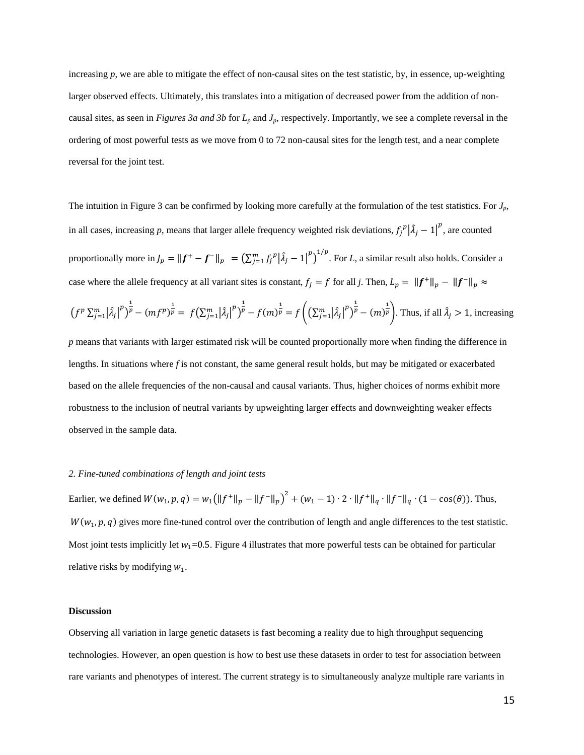increasing *p*, we are able to mitigate the effect of non-causal sites on the test statistic, by, in essence, up-weighting larger observed effects. Ultimately, this translates into a mitigation of decreased power from the addition of noncausal sites, as seen in *Figures 3a and 3b* for *L<sup>p</sup>* and *Jp*, respectively. Importantly, we see a complete reversal in the ordering of most powerful tests as we move from 0 to 72 non-causal sites for the length test, and a near complete reversal for the joint test.

The intuition in Figure 3 can be confirmed by looking more carefully at the formulation of the test statistics. For *Jp*, in all cases, increasing p, means that larger allele frequency weighted risk deviations,  $f_j^p |\hat{\lambda}_j - 1|^p$ , are counted proportionally more in  $J_p = ||f^+ - f^-||_p = \left(\sum_{j=1}^m f_j^p \left|\hat{\lambda}_j - 1\right|^p\right)^{1/p}$ . For *L*, a similar result also holds. Consider a case where the allele frequency at all variant sites is constant,  $f_j = f$  for all *j*. Then,  $L_p = ||f^+||_p - ||f^-||_p$  $(f^p \sum_{j=1}^m |\hat{\lambda}_j|^p)$  $\frac{1}{p} - (mf^p)^{\frac{1}{p}} = f(\sum_{j=1}^m |\hat{\lambda}_j|^p)$  $\frac{1}{p} - f(m)^{\frac{1}{p}} = f\left( \left( \sum_{j=1}^{m} |\hat{\lambda}_j|^p \right) \right)$  $(\frac{1}{p} - (m)^{\frac{1}{p}})$ . Thus, if all  $\lambda_j > 1$ , increasing

*p* means that variants with larger estimated risk will be counted proportionally more when finding the difference in lengths. In situations where *f* is not constant, the same general result holds, but may be mitigated or exacerbated based on the allele frequencies of the non-causal and causal variants. Thus, higher choices of norms exhibit more robustness to the inclusion of neutral variants by upweighting larger effects and downweighting weaker effects observed in the sample data.

#### *2. Fine-tuned combinations of length and joint tests*

Earlier, we defined  $W(w_1, p, q) = w_1 (||f^+||_p - ||f^-||_p)^2 + (w_1 - 1) \cdot 2 \cdot ||f^+||_q \cdot ||f^-||_q \cdot (1 - \cos(\theta))$ . Thus,  $W(w_1, p, q)$  gives more fine-tuned control over the contribution of length and angle differences to the test statistic. Most joint tests implicitly let  $w_1$ = 0.5. Figure 4 illustrates that more powerful tests can be obtained for particular relative risks by modifying  $w_1$ .

#### **Discussion**

Observing all variation in large genetic datasets is fast becoming a reality due to high throughput sequencing technologies. However, an open question is how to best use these datasets in order to test for association between rare variants and phenotypes of interest. The current strategy is to simultaneously analyze multiple rare variants in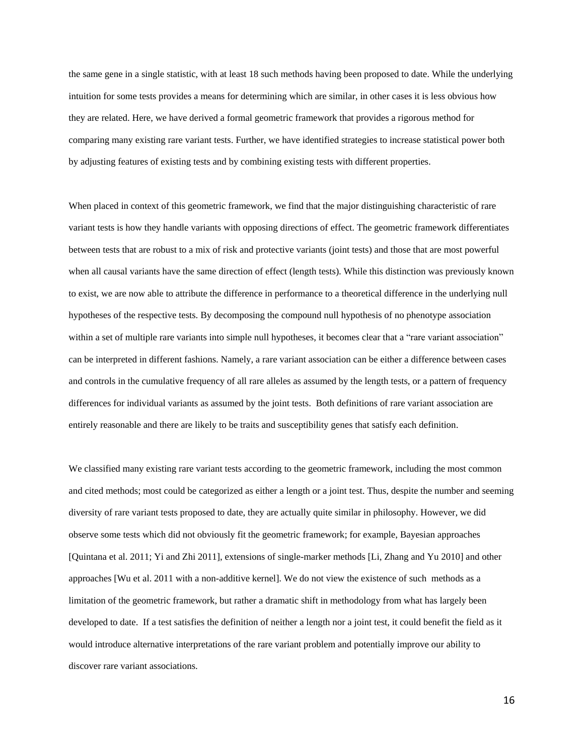the same gene in a single statistic, with at least 18 such methods having been proposed to date. While the underlying intuition for some tests provides a means for determining which are similar, in other cases it is less obvious how they are related. Here, we have derived a formal geometric framework that provides a rigorous method for comparing many existing rare variant tests. Further, we have identified strategies to increase statistical power both by adjusting features of existing tests and by combining existing tests with different properties.

When placed in context of this geometric framework, we find that the major distinguishing characteristic of rare variant tests is how they handle variants with opposing directions of effect. The geometric framework differentiates between tests that are robust to a mix of risk and protective variants (joint tests) and those that are most powerful when all causal variants have the same direction of effect (length tests). While this distinction was previously known to exist, we are now able to attribute the difference in performance to a theoretical difference in the underlying null hypotheses of the respective tests. By decomposing the compound null hypothesis of no phenotype association within a set of multiple rare variants into simple null hypotheses, it becomes clear that a "rare variant association" can be interpreted in different fashions. Namely, a rare variant association can be either a difference between cases and controls in the cumulative frequency of all rare alleles as assumed by the length tests, or a pattern of frequency differences for individual variants as assumed by the joint tests. Both definitions of rare variant association are entirely reasonable and there are likely to be traits and susceptibility genes that satisfy each definition.

We classified many existing rare variant tests according to the geometric framework, including the most common and cited methods; most could be categorized as either a length or a joint test. Thus, despite the number and seeming diversity of rare variant tests proposed to date, they are actually quite similar in philosophy. However, we did observe some tests which did not obviously fit the geometric framework; for example, Bayesian approaches [Quintana et al. 2011; Yi and Zhi 2011], extensions of single-marker methods [Li, Zhang and Yu 2010] and other approaches [Wu et al. 2011 with a non-additive kernel]. We do not view the existence of such methods as a limitation of the geometric framework, but rather a dramatic shift in methodology from what has largely been developed to date. If a test satisfies the definition of neither a length nor a joint test, it could benefit the field as it would introduce alternative interpretations of the rare variant problem and potentially improve our ability to discover rare variant associations.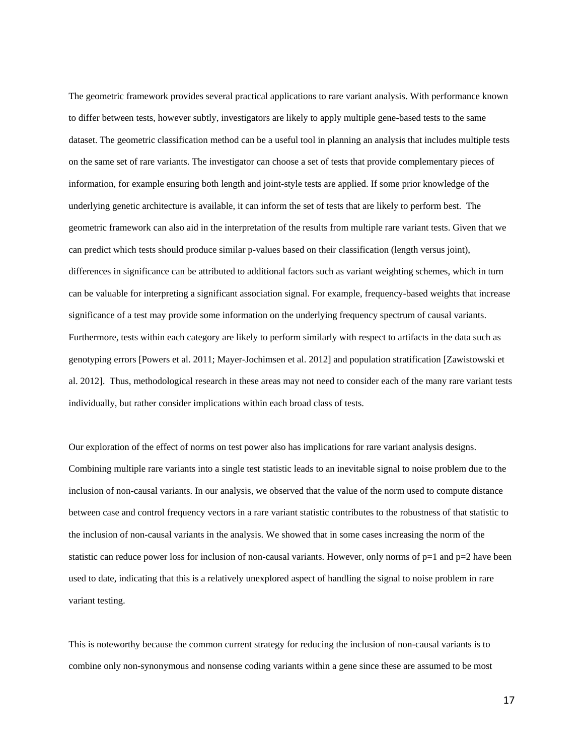The geometric framework provides several practical applications to rare variant analysis. With performance known to differ between tests, however subtly, investigators are likely to apply multiple gene-based tests to the same dataset. The geometric classification method can be a useful tool in planning an analysis that includes multiple tests on the same set of rare variants. The investigator can choose a set of tests that provide complementary pieces of information, for example ensuring both length and joint-style tests are applied. If some prior knowledge of the underlying genetic architecture is available, it can inform the set of tests that are likely to perform best. The geometric framework can also aid in the interpretation of the results from multiple rare variant tests. Given that we can predict which tests should produce similar p-values based on their classification (length versus joint), differences in significance can be attributed to additional factors such as variant weighting schemes, which in turn can be valuable for interpreting a significant association signal. For example, frequency-based weights that increase significance of a test may provide some information on the underlying frequency spectrum of causal variants. Furthermore, tests within each category are likely to perform similarly with respect to artifacts in the data such as genotyping errors [Powers et al. 2011; Mayer-Jochimsen et al. 2012] and population stratification [Zawistowski et al. 2012]. Thus, methodological research in these areas may not need to consider each of the many rare variant tests individually, but rather consider implications within each broad class of tests.

Our exploration of the effect of norms on test power also has implications for rare variant analysis designs. Combining multiple rare variants into a single test statistic leads to an inevitable signal to noise problem due to the inclusion of non-causal variants. In our analysis, we observed that the value of the norm used to compute distance between case and control frequency vectors in a rare variant statistic contributes to the robustness of that statistic to the inclusion of non-causal variants in the analysis. We showed that in some cases increasing the norm of the statistic can reduce power loss for inclusion of non-causal variants. However, only norms of  $p=1$  and  $p=2$  have been used to date, indicating that this is a relatively unexplored aspect of handling the signal to noise problem in rare variant testing.

This is noteworthy because the common current strategy for reducing the inclusion of non-causal variants is to combine only non-synonymous and nonsense coding variants within a gene since these are assumed to be most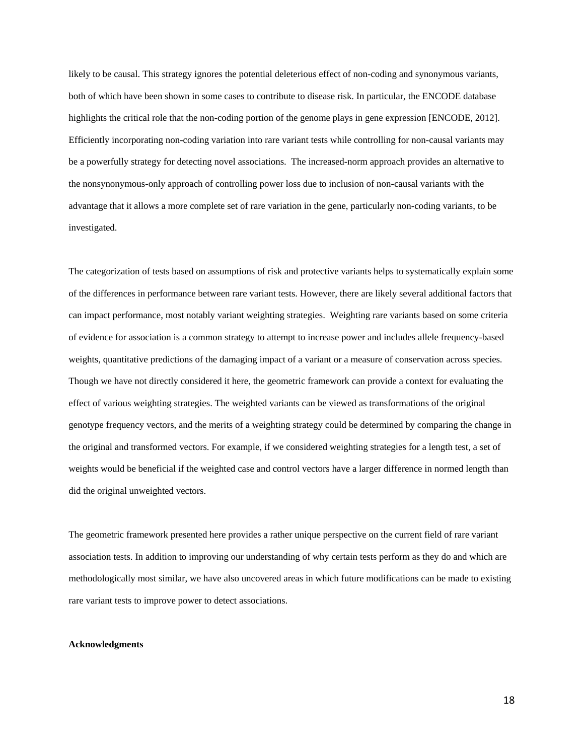likely to be causal. This strategy ignores the potential deleterious effect of non-coding and synonymous variants, both of which have been shown in some cases to contribute to disease risk. In particular, the ENCODE database highlights the critical role that the non-coding portion of the genome plays in gene expression [ENCODE, 2012]. Efficiently incorporating non-coding variation into rare variant tests while controlling for non-causal variants may be a powerfully strategy for detecting novel associations. The increased-norm approach provides an alternative to the nonsynonymous-only approach of controlling power loss due to inclusion of non-causal variants with the advantage that it allows a more complete set of rare variation in the gene, particularly non-coding variants, to be investigated.

The categorization of tests based on assumptions of risk and protective variants helps to systematically explain some of the differences in performance between rare variant tests. However, there are likely several additional factors that can impact performance, most notably variant weighting strategies. Weighting rare variants based on some criteria of evidence for association is a common strategy to attempt to increase power and includes allele frequency-based weights, quantitative predictions of the damaging impact of a variant or a measure of conservation across species. Though we have not directly considered it here, the geometric framework can provide a context for evaluating the effect of various weighting strategies. The weighted variants can be viewed as transformations of the original genotype frequency vectors, and the merits of a weighting strategy could be determined by comparing the change in the original and transformed vectors. For example, if we considered weighting strategies for a length test, a set of weights would be beneficial if the weighted case and control vectors have a larger difference in normed length than did the original unweighted vectors.

The geometric framework presented here provides a rather unique perspective on the current field of rare variant association tests. In addition to improving our understanding of why certain tests perform as they do and which are methodologically most similar, we have also uncovered areas in which future modifications can be made to existing rare variant tests to improve power to detect associations.

#### **Acknowledgments**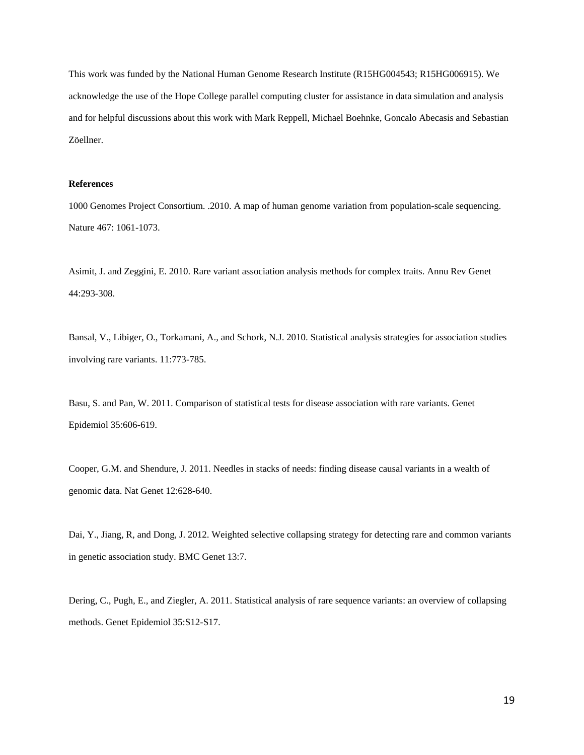This work was funded by the National Human Genome Research Institute (R15HG004543; R15HG006915). We acknowledge the use of the Hope College parallel computing cluster for assistance in data simulation and analysis and for helpful discussions about this work with Mark Reppell, Michael Boehnke, Goncalo Abecasis and Sebastian Zöellner.

#### **References**

1000 Genomes Project Consortium. .2010. A map of human genome variation from population-scale sequencing. Nature 467: 1061-1073.

Asimit, J. and Zeggini, E. 2010. Rare variant association analysis methods for complex traits. Annu Rev Genet 44:293-308.

Bansal, V., Libiger, O., Torkamani, A., and Schork, N.J. 2010. Statistical analysis strategies for association studies involving rare variants. 11:773-785.

Basu, S. and Pan, W. 2011. Comparison of statistical tests for disease association with rare variants. Genet Epidemiol 35:606-619.

Cooper, G.M. and Shendure, J. 2011. Needles in stacks of needs: finding disease causal variants in a wealth of genomic data. Nat Genet 12:628-640.

Dai, Y., Jiang, R, and Dong, J. 2012. Weighted selective collapsing strategy for detecting rare and common variants in genetic association study. BMC Genet 13:7.

Dering, C., Pugh, E., and Ziegler, A. 2011. Statistical analysis of rare sequence variants: an overview of collapsing methods. Genet Epidemiol 35:S12-S17.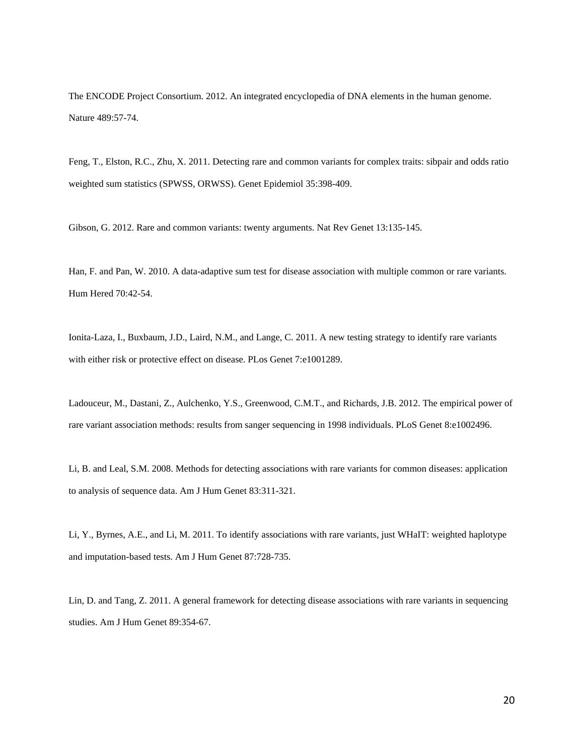The ENCODE Project Consortium. 2012. An integrated encyclopedia of DNA elements in the human genome. Nature 489:57-74.

Feng, T., Elston, R.C., Zhu, X. 2011. Detecting rare and common variants for complex traits: sibpair and odds ratio weighted sum statistics (SPWSS, ORWSS). Genet Epidemiol 35:398-409.

Gibson, G. 2012. Rare and common variants: twenty arguments. Nat Rev Genet 13:135-145.

Han, F. and Pan, W. 2010. A data-adaptive sum test for disease association with multiple common or rare variants. Hum Hered 70:42-54.

Ionita-Laza, I., Buxbaum, J.D., Laird, N.M., and Lange, C. 2011. A new testing strategy to identify rare variants with either risk or protective effect on disease. PLos Genet 7:e1001289.

Ladouceur, M., Dastani, Z., Aulchenko, Y.S., Greenwood, C.M.T., and Richards, J.B. 2012. The empirical power of rare variant association methods: results from sanger sequencing in 1998 individuals. PLoS Genet 8:e1002496.

Li, B. and Leal, S.M. 2008. Methods for detecting associations with rare variants for common diseases: application to analysis of sequence data. Am J Hum Genet 83:311-321.

Li, Y., Byrnes, A.E., and Li, M. 2011. To identify associations with rare variants, just WHaIT: weighted haplotype and imputation-based tests. Am J Hum Genet 87:728-735.

Lin, D. and Tang, Z. 2011. A general framework for detecting disease associations with rare variants in sequencing studies. Am J Hum Genet 89:354-67.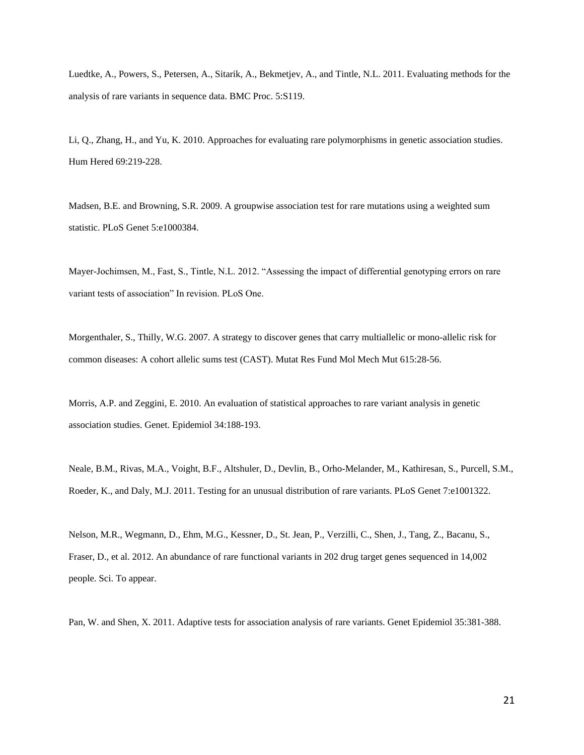Luedtke, A., Powers, S., Petersen, A., Sitarik, A., Bekmetjev, A., and Tintle, N.L. 2011. Evaluating methods for the analysis of rare variants in sequence data. BMC Proc. 5:S119.

Li, Q., Zhang, H., and Yu, K. 2010. Approaches for evaluating rare polymorphisms in genetic association studies. Hum Hered 69:219-228.

Madsen, B.E. and Browning, S.R. 2009. A groupwise association test for rare mutations using a weighted sum statistic. PLoS Genet 5:e1000384.

Mayer-Jochimsen, M., Fast, S., Tintle, N.L. 2012. "Assessing the impact of differential genotyping errors on rare variant tests of association" In revision. PLoS One.

Morgenthaler, S., Thilly, W.G. 2007. A strategy to discover genes that carry multiallelic or mono-allelic risk for common diseases: A cohort allelic sums test (CAST). Mutat Res Fund Mol Mech Mut 615:28-56.

Morris, A.P. and Zeggini, E. 2010. An evaluation of statistical approaches to rare variant analysis in genetic association studies. Genet. Epidemiol 34:188-193.

Neale, B.M., Rivas, M.A., Voight, B.F., Altshuler, D., Devlin, B., Orho-Melander, M., Kathiresan, S., Purcell, S.M., Roeder, K., and Daly, M.J. 2011. Testing for an unusual distribution of rare variants. PLoS Genet 7:e1001322.

Nelson, M.R., Wegmann, D., Ehm, M.G., Kessner, D., St. Jean, P., Verzilli, C., Shen, J., Tang, Z., Bacanu, S., Fraser, D., et al. 2012. An abundance of rare functional variants in 202 drug target genes sequenced in 14,002 people. Sci. To appear.

Pan, W. and Shen, X. 2011. Adaptive tests for association analysis of rare variants. Genet Epidemiol 35:381-388.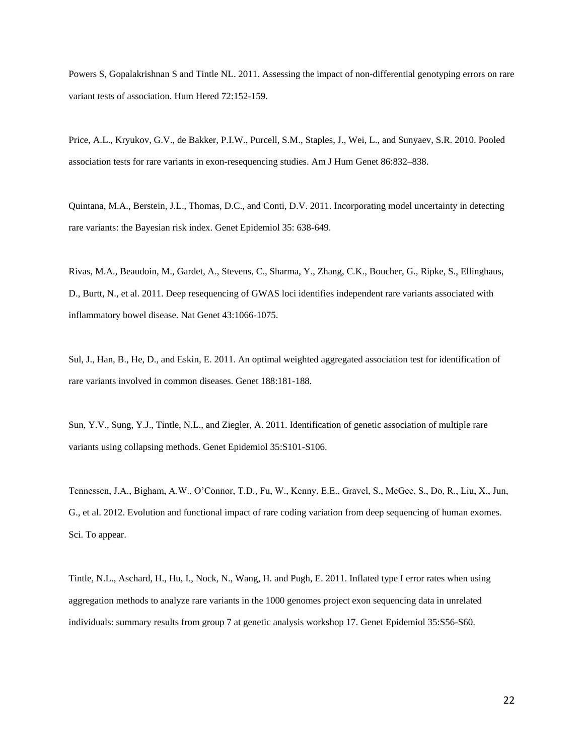Powers S, Gopalakrishnan S and Tintle NL. 2011. Assessing the impact of non-differential genotyping errors on rare variant tests of association. Hum Hered 72:152-159.

Price, A.L., Kryukov, G.V., de Bakker, P.I.W., Purcell, S.M., Staples, J., Wei, L., and Sunyaev, S.R. 2010. Pooled association tests for rare variants in exon-resequencing studies. Am J Hum Genet 86:832–838.

Quintana, M.A., Berstein, J.L., Thomas, D.C., and Conti, D.V. 2011. Incorporating model uncertainty in detecting rare variants: the Bayesian risk index. Genet Epidemiol 35: 638-649.

Rivas, M.A., Beaudoin, M., Gardet, A., Stevens, C., Sharma, Y., Zhang, C.K., Boucher, G., Ripke, S., Ellinghaus, D., Burtt, N., et al. 2011. Deep resequencing of GWAS loci identifies independent rare variants associated with inflammatory bowel disease. Nat Genet 43:1066-1075.

Sul, J., Han, B., He, D., and Eskin, E. 2011. An optimal weighted aggregated association test for identification of rare variants involved in common diseases. Genet 188:181-188.

Sun, Y.V., Sung, Y.J., Tintle, N.L., and Ziegler, A. 2011. Identification of genetic association of multiple rare variants using collapsing methods. Genet Epidemiol 35:S101-S106.

Tennessen, J.A., Bigham, A.W., O'Connor, T.D., Fu, W., Kenny, E.E., Gravel, S., McGee, S., Do, R., Liu, X., Jun, G., et al. 2012. Evolution and functional impact of rare coding variation from deep sequencing of human exomes. Sci. To appear.

Tintle, N.L., Aschard, H., Hu, I., Nock, N., Wang, H. and Pugh, E. 2011. Inflated type I error rates when using aggregation methods to analyze rare variants in the 1000 genomes project exon sequencing data in unrelated individuals: summary results from group 7 at genetic analysis workshop 17. Genet Epidemiol 35:S56-S60.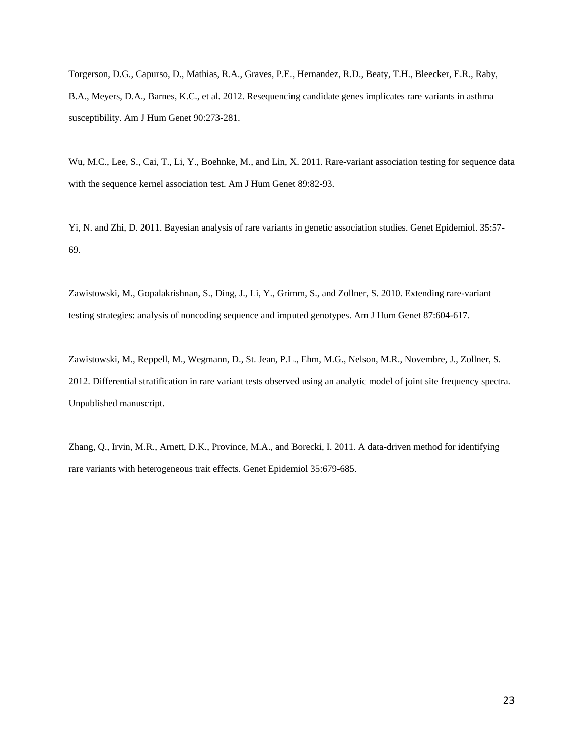Torgerson, D.G., Capurso, D., Mathias, R.A., Graves, P.E., Hernandez, R.D., Beaty, T.H., Bleecker, E.R., Raby, B.A., Meyers, D.A., Barnes, K.C., et al. 2012. Resequencing candidate genes implicates rare variants in asthma susceptibility. Am J Hum Genet 90:273-281.

Wu, M.C., Lee, S., Cai, T., Li, Y., Boehnke, M., and Lin, X. 2011. Rare-variant association testing for sequence data with the sequence kernel association test. Am J Hum Genet 89:82-93.

Yi, N. and Zhi, D. 2011. Bayesian analysis of rare variants in genetic association studies. Genet Epidemiol. 35:57- 69.

Zawistowski, M., Gopalakrishnan, S., Ding, J., Li, Y., Grimm, S., and Zollner, S. 2010. Extending rare-variant testing strategies: analysis of noncoding sequence and imputed genotypes. Am J Hum Genet 87:604-617.

Zawistowski, M., Reppell, M., Wegmann, D., St. Jean, P.L., Ehm, M.G., Nelson, M.R., Novembre, J., Zollner, S. 2012. Differential stratification in rare variant tests observed using an analytic model of joint site frequency spectra. Unpublished manuscript.

Zhang, Q., Irvin, M.R., Arnett, D.K., Province, M.A., and Borecki, I. 2011. A data-driven method for identifying rare variants with heterogeneous trait effects. Genet Epidemiol 35:679-685.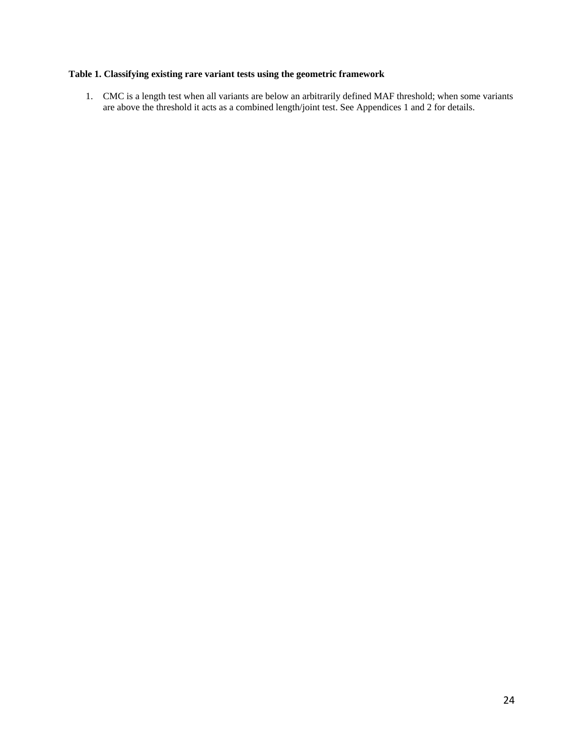### **Table 1. Classifying existing rare variant tests using the geometric framework**

1. CMC is a length test when all variants are below an arbitrarily defined MAF threshold; when some variants are above the threshold it acts as a combined length/joint test. See Appendices 1 and 2 for details.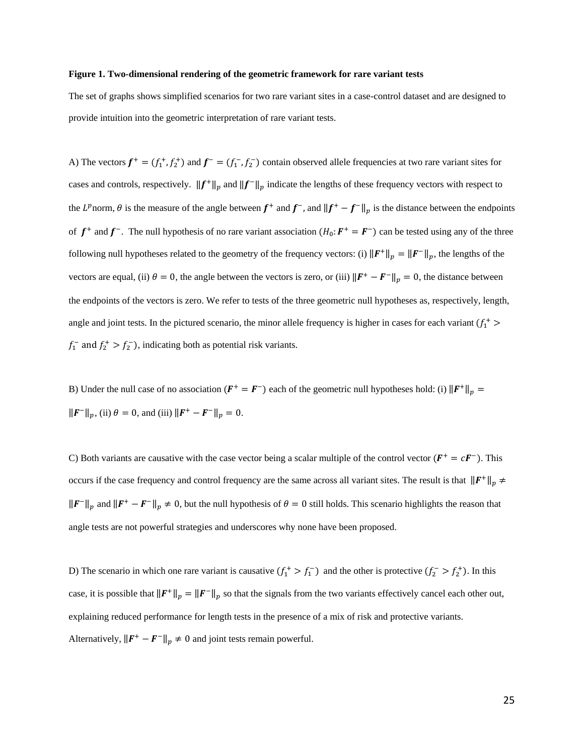#### **Figure 1. Two-dimensional rendering of the geometric framework for rare variant tests**

The set of graphs shows simplified scenarios for two rare variant sites in a case-control dataset and are designed to provide intuition into the geometric interpretation of rare variant tests.

A) The vectors  $f^+ = (f_1^+, f_2^+)$  and  $f^- = (f_1^-, f_2^-)$  contain observed allele frequencies at two rare variant sites for cases and controls, respectively.  $||f^+||_p$  and  $||f^-||_p$  indicate the lengths of these frequency vectors with respect to the  $L^p$  norm,  $\theta$  is the measure of the angle between  $f^+$  and  $f^-$ , and  $||f^+ - f^-||_p$  is the distance between the endpoints of  $f^+$  and  $f^-$ . The null hypothesis of no rare variant association  $(H_0: F^+ = F^-)$  can be tested using any of the three following null hypotheses related to the geometry of the frequency vectors: (i)  $||F^+||_p = ||F^-||_p$ , the lengths of the vectors are equal, (ii)  $\theta = 0$ , the angle between the vectors is zero, or (iii)  $\|\mathbf{F}^+ - \mathbf{F}^-\|_p = 0$ , the distance between the endpoints of the vectors is zero. We refer to tests of the three geometric null hypotheses as, respectively, length, angle and joint tests. In the pictured scenario, the minor allele frequency is higher in cases for each variant  $(f_1^+)$  $f_1^-$  and  $f_2^+ > f_2^-$ ), indicating both as potential risk variants.

B) Under the null case of no association  $(F^+ = F^-)$  each of the geometric null hypotheses hold: (i)  $||F^+||_p$  $\|F^-\|_p$ , (ii)  $\theta = 0$ , and (iii)  $\|F^+ - F^-\|_p = 0$ .

C) Both variants are causative with the case vector being a scalar multiple of the control vector  $(F^+ = cF^-)$ . This occurs if the case frequency and control frequency are the same across all variant sites. The result is that  $\|F^+\|_p$  $\|F^-\|_p$  and  $\|F^+-F^-\|_p \neq 0$ , but the null hypothesis of  $\theta = 0$  still holds. This scenario highlights the reason that angle tests are not powerful strategies and underscores why none have been proposed.

D) The scenario in which one rare variant is causative  $(f_1^+ > f_1^-)$  and the other is protective  $(f_2^- > f_2^+)$ . In this case, it is possible that  $||F^+||_p = ||F^-||_p$  so that the signals from the two variants effectively cancel each other out, explaining reduced performance for length tests in the presence of a mix of risk and protective variants. Alternatively,  $\|\mathbf{F}^+ - \mathbf{F}^-\|_p \neq 0$  and joint tests remain powerful.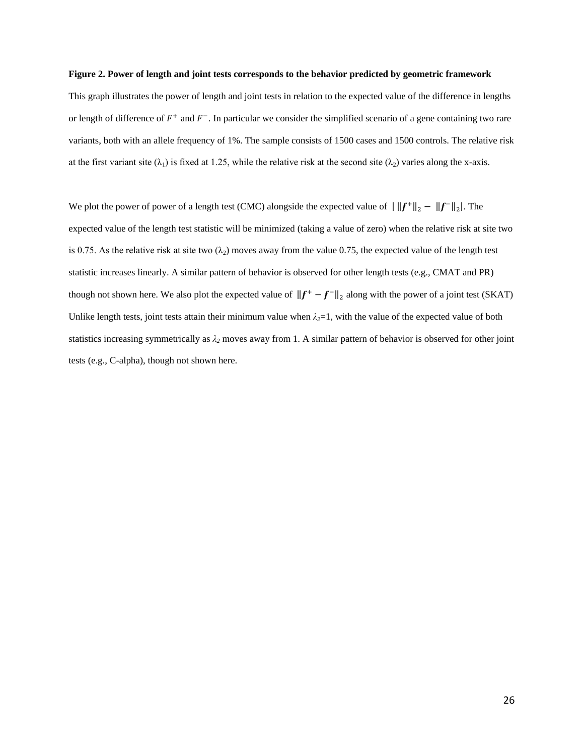#### **Figure 2. Power of length and joint tests corresponds to the behavior predicted by geometric framework**

This graph illustrates the power of length and joint tests in relation to the expected value of the difference in lengths or length of difference of  $F^+$  and  $F^-$ . In particular we consider the simplified scenario of a gene containing two rare variants, both with an allele frequency of 1%. The sample consists of 1500 cases and 1500 controls. The relative risk at the first variant site ( $\lambda_1$ ) is fixed at 1.25, while the relative risk at the second site ( $\lambda_2$ ) varies along the x-axis.

We plot the power of power of a length test (CMC) alongside the expected value of  $|| ||f^+||_2 - ||f^-||_2$ . The expected value of the length test statistic will be minimized (taking a value of zero) when the relative risk at site two is 0.75. As the relative risk at site two  $(\lambda_2)$  moves away from the value 0.75, the expected value of the length test statistic increases linearly. A similar pattern of behavior is observed for other length tests (e.g., CMAT and PR) though not shown here. We also plot the expected value of  $||f^+ - f^-||_2$  along with the power of a joint test (SKAT) Unlike length tests, joint tests attain their minimum value when  $\lambda_2=1$ , with the value of the expected value of both statistics increasing symmetrically as  $\lambda_2$  moves away from 1. A similar pattern of behavior is observed for other joint tests (e.g., C-alpha), though not shown here.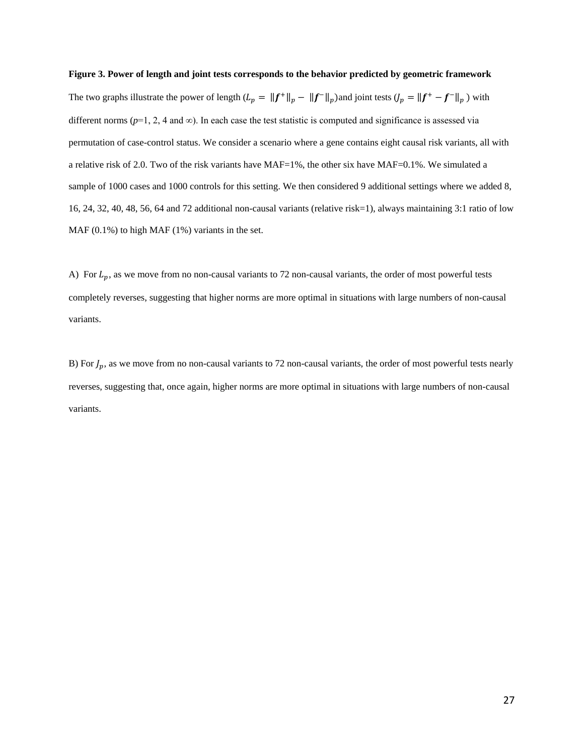#### **Figure 3. Power of length and joint tests corresponds to the behavior predicted by geometric framework**

The two graphs illustrate the power of length  $(L_p = ||f^+||_p - ||f^-||_p)$  and joint tests  $(J_p = ||f^+ - f^-||_p)$  with different norms ( $p=1, 2, 4$  and  $\infty$ ). In each case the test statistic is computed and significance is assessed via permutation of case-control status. We consider a scenario where a gene contains eight causal risk variants, all with a relative risk of 2.0. Two of the risk variants have MAF=1%, the other six have MAF=0.1%. We simulated a sample of 1000 cases and 1000 controls for this setting. We then considered 9 additional settings where we added 8, 16, 24, 32, 40, 48, 56, 64 and 72 additional non-causal variants (relative risk=1), always maintaining 3:1 ratio of low MAF (0.1%) to high MAF (1%) variants in the set.

A) For  $L_p$ , as we move from no non-causal variants to 72 non-causal variants, the order of most powerful tests completely reverses, suggesting that higher norms are more optimal in situations with large numbers of non-causal variants.

B) For  $J_p$ , as we move from no non-causal variants to 72 non-causal variants, the order of most powerful tests nearly reverses, suggesting that, once again, higher norms are more optimal in situations with large numbers of non-causal variants.